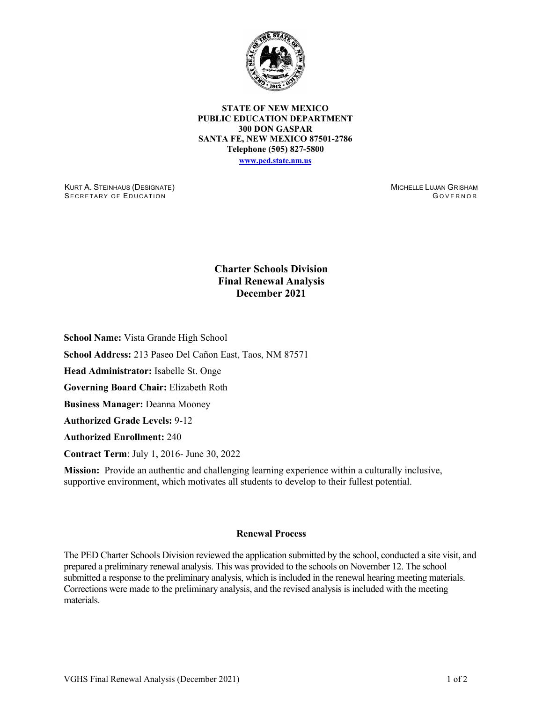

**STATE OF NEW MEXICO PUBLIC EDUCATION DEPARTMENT 300 DON GASPAR SANTA FE, NEW MEXICO 87501-2786 Telephone (505) 827-5800 [www.ped.state.nm.us](http://webnew.ped.state.nm.us/)**

KURT A. STEINHAUS (DESIGNATE) SECRETARY OF EDUCATION

MICHELLE LUJAN GRISHAM G OVERNOR

## **Charter Schools Division Final Renewal Analysis December 2021**

**School Name:** Vista Grande High School

**School Address:** 213 Paseo Del Cañon East, Taos, NM 87571

**Head Administrator:** Isabelle St. Onge

**Governing Board Chair:** Elizabeth Roth

**Business Manager:** Deanna Mooney

**Authorized Grade Levels:** 9-12

**Authorized Enrollment:** 240

**Contract Term**: July 1, 2016- June 30, 2022

**Mission:** Provide an authentic and challenging learning experience within a culturally inclusive, supportive environment, which motivates all students to develop to their fullest potential.

## **Renewal Process**

The PED Charter Schools Division reviewed the application submitted by the school, conducted a site visit, and prepared a preliminary renewal analysis. This was provided to the schools on November 12. The school submitted a response to the preliminary analysis, which is included in the renewal hearing meeting materials. Corrections were made to the preliminary analysis, and the revised analysis is included with the meeting materials.